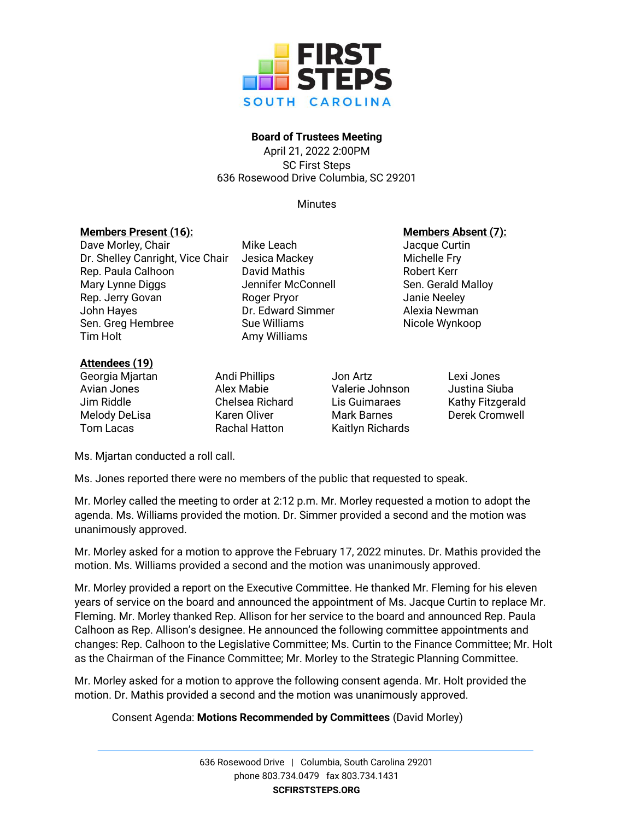

# **Board of Trustees Meeting**

April 21, 2022 2:00PM SC First Steps 636 Rosewood Drive Columbia, SC 29201

**Minutes** 

# **Members Present (16): Members Absent (7):**

Dave Morley, Chair **Mike Leach** Mike Leach Jacque Curtin Dr. Shelley Canright, Vice Chair Jesica Mackey Michelle Fry Rep. Paula Calhoon **David Mathis Communist Contract Contract Contract Contract Contract Contract Contract Rep.** Mary Lynne Diggs The Sennifer McConnell Sen. Gerald Malloy Rep. Jerry Govan **Roger Pryor** Roger Pryor **Neeley** John Hayes **DR. Edward Simmer** Alexia Newman Sen. Greg Hembree Sue Williams Nicole Wynkoop Tim Holt **Amy Williams** 

### **Attendees (19)**

Georgia Mjartan **Andi Phillips** Jon Artz Lexi Jones Avian Jones Alex Mabie Valerie Johnson Justina Siuba Jim Riddle Chelsea Richard Lis Guimaraes Kathy Fitzgerald Melody DeLisa **Karen Oliver** Mark Barnes Derek Cromwell **Tom Lacas Rachal Hatton Kaitlyn Richards** 

Ms. Mjartan conducted a roll call.

Ms. Jones reported there were no members of the public that requested to speak.

Mr. Morley called the meeting to order at 2:12 p.m. Mr. Morley requested a motion to adopt the agenda. Ms. Williams provided the motion. Dr. Simmer provided a second and the motion was unanimously approved.

Mr. Morley asked for a motion to approve the February 17, 2022 minutes. Dr. Mathis provided the motion. Ms. Williams provided a second and the motion was unanimously approved.

Mr. Morley provided a report on the Executive Committee. He thanked Mr. Fleming for his eleven years of service on the board and announced the appointment of Ms. Jacque Curtin to replace Mr. Fleming. Mr. Morley thanked Rep. Allison for her service to the board and announced Rep. Paula Calhoon as Rep. Allison's designee. He announced the following committee appointments and changes: Rep. Calhoon to the Legislative Committee; Ms. Curtin to the Finance Committee; Mr. Holt as the Chairman of the Finance Committee; Mr. Morley to the Strategic Planning Committee.

Mr. Morley asked for a motion to approve the following consent agenda. Mr. Holt provided the motion. Dr. Mathis provided a second and the motion was unanimously approved.

# Consent Agenda: **Motions Recommended by Committees** (David Morley)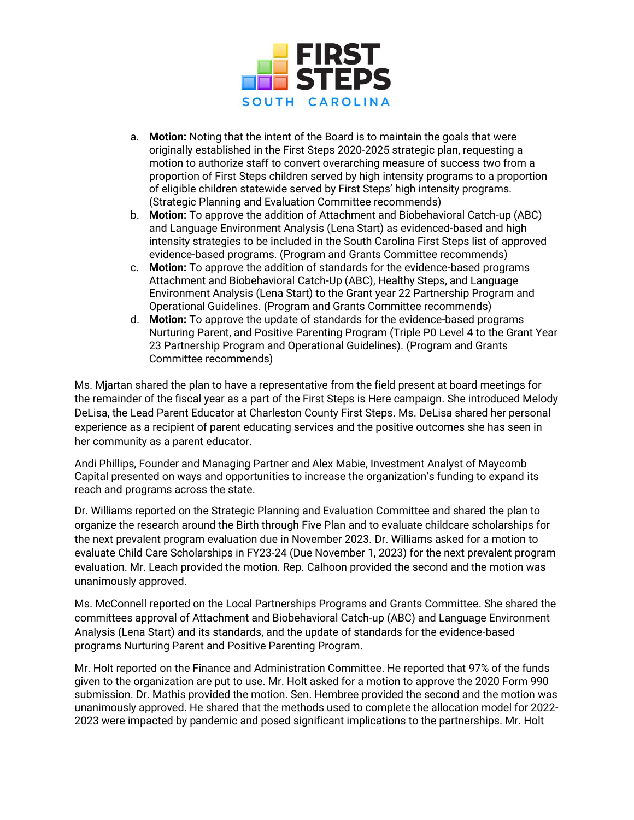

- a. **Motion:** Noting that the intent of the Board is to maintain the goals that were originally established in the First Steps 2020-2025 strategic plan, requesting a motion to authorize staff to convert overarching measure of success two from a proportion of First Steps children served by high intensity programs to a proportion of eligible children statewide served by First Steps' high intensity programs. (Strategic Planning and Evaluation Committee recommends)
- b. **Motion:** To approve the addition of Attachment and Biobehavioral Catch-up (ABC) and Language Environment Analysis (Lena Start) as evidenced-based and high intensity strategies to be included in the South Carolina First Steps list of approved evidence-based programs. (Program and Grants Committee recommends)
- c. **Motion:** To approve the addition of standards for the evidence-based programs Attachment and Biobehavioral Catch-Up (ABC), Healthy Steps, and Language Environment Analysis (Lena Start) to the Grant year 22 Partnership Program and Operational Guidelines. (Program and Grants Committee recommends)
- d. **Motion:** To approve the update of standards for the evidence-based programs Nurturing Parent, and Positive Parenting Program (Triple P0 Level 4 to the Grant Year 23 Partnership Program and Operational Guidelines). (Program and Grants Committee recommends)

Ms. Mjartan shared the plan to have a representative from the field present at board meetings for the remainder of the fiscal year as a part of the First Steps is Here campaign. She introduced Melody DeLisa, the Lead Parent Educator at Charleston County First Steps. Ms. DeLisa shared her personal experience as a recipient of parent educating services and the positive outcomes she has seen in her community as a parent educator.

Andi Phillips, Founder and Managing Partner and Alex Mabie, Investment Analyst of Maycomb Capital presented on ways and opportunities to increase the organization's funding to expand its reach and programs across the state.

Dr. Williams reported on the Strategic Planning and Evaluation Committee and shared the plan to organize the research around the Birth through Five Plan and to evaluate childcare scholarships for the next prevalent program evaluation due in November 2023. Dr. Williams asked for a motion to evaluate Child Care Scholarships in FY23-24 (Due November 1, 2023) for the next prevalent program evaluation. Mr. Leach provided the motion. Rep. Calhoon provided the second and the motion was unanimously approved.

Ms. McConnell reported on the Local Partnerships Programs and Grants Committee. She shared the committees approval of Attachment and Biobehavioral Catch-up (ABC) and Language Environment Analysis (Lena Start) and its standards, and the update of standards for the evidence-based programs Nurturing Parent and Positive Parenting Program.

Mr. Holt reported on the Finance and Administration Committee. He reported that 97% of the funds given to the organization are put to use. Mr. Holt asked for a motion to approve the 2020 Form 990 submission. Dr. Mathis provided the motion. Sen. Hembree provided the second and the motion was unanimously approved. He shared that the methods used to complete the allocation model for 2022- 2023 were impacted by pandemic and posed significant implications to the partnerships. Mr. Holt